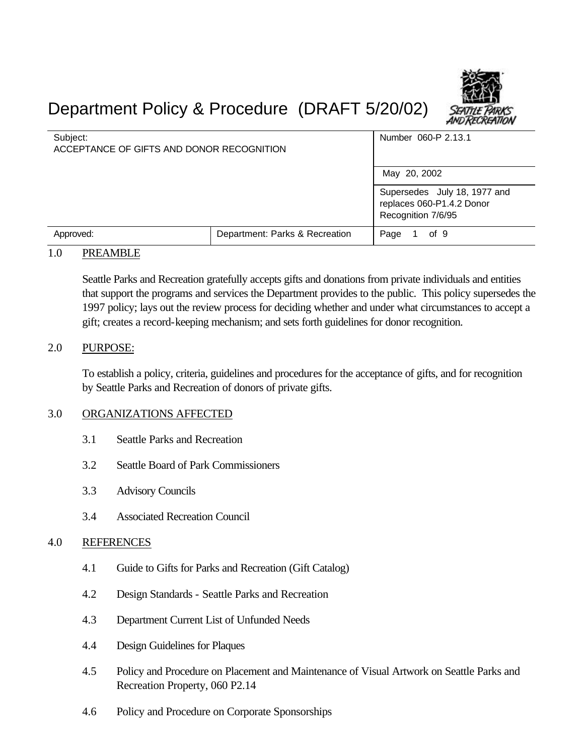# Department Policy & Procedure (DRAFT 5/20/02)

| Subject:<br>ACCEPTANCE OF GIFTS AND DONOR RECOGNITION |                                | Number 060-P 2.13.1                                                             |
|-------------------------------------------------------|--------------------------------|---------------------------------------------------------------------------------|
|                                                       |                                | May 20, 2002                                                                    |
|                                                       |                                | Supersedes July 18, 1977 and<br>replaces 060-P1.4.2 Donor<br>Recognition 7/6/95 |
| Approved:                                             | Department: Parks & Recreation | of 9<br>Page                                                                    |

#### 1.0 PREAMBLE

Seattle Parks and Recreation gratefully accepts gifts and donations from private individuals and entities that support the programs and services the Department provides to the public. This policy supersedes the 1997 policy; lays out the review process for deciding whether and under what circumstances to accept a gift; creates a record-keeping mechanism; and sets forth guidelines for donor recognition.

#### 2.0 PURPOSE:

To establish a policy, criteria, guidelines and procedures for the acceptance of gifts, and for recognition by Seattle Parks and Recreation of donors of private gifts.

#### 3.0 ORGANIZATIONS AFFECTED

- 3.1 Seattle Parks and Recreation
- 3.2 Seattle Board of Park Commissioners
- 3.3 Advisory Councils
- 3.4 Associated Recreation Council

#### 4.0 REFERENCES

- 4.1 Guide to Gifts for Parks and Recreation (Gift Catalog)
- 4.2 Design Standards Seattle Parks and Recreation
- 4.3 Department Current List of Unfunded Needs
- 4.4 Design Guidelines for Plaques
- 4.5 Policy and Procedure on Placement and Maintenance of Visual Artwork on Seattle Parks and Recreation Property, 060 P2.14
- 4.6 Policy and Procedure on Corporate Sponsorships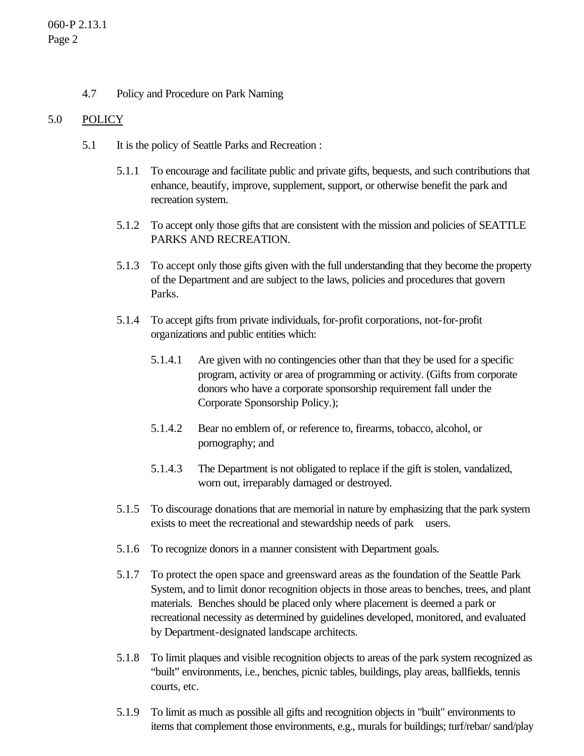4.7 Policy and Procedure on Park Naming

### 5.0 POLICY

- 5.1 It is the policy of Seattle Parks and Recreation :
	- 5.1.1 To encourage and facilitate public and private gifts, bequests, and such contributions that enhance, beautify, improve, supplement, support, or otherwise benefit the park and recreation system.
	- 5.1.2 To accept only those gifts that are consistent with the mission and policies of SEATTLE PARKS AND RECREATION.
	- 5.1.3 To accept only those gifts given with the full understanding that they become the property of the Department and are subject to the laws, policies and procedures that govern Parks.
	- 5.1.4 To accept gifts from private individuals, for-profit corporations, not-for-profit organizations and public entities which:
		- 5.1.4.1 Are given with no contingencies other than that they be used for a specific program, activity or area of programming or activity. (Gifts from corporate donors who have a corporate sponsorship requirement fall under the Corporate Sponsorship Policy.);
		- 5.1.4.2 Bear no emblem of, or reference to, firearms, tobacco, alcohol, or pornography; and
		- 5.1.4.3 The Department is not obligated to replace if the gift is stolen, vandalized, worn out, irreparably damaged or destroyed.
	- 5.1.5 To discourage donations that are memorial in nature by emphasizing that the park system exists to meet the recreational and stewardship needs of park users.
	- 5.1.6 To recognize donors in a manner consistent with Department goals.
	- 5.1.7 To protect the open space and greensward areas as the foundation of the Seattle Park System, and to limit donor recognition objects in those areas to benches, trees, and plant materials. Benches should be placed only where placement is deemed a park or recreational necessity as determined by guidelines developed, monitored, and evaluated by Department-designated landscape architects.
	- 5.1.8 To limit plaques and visible recognition objects to areas of the park system recognized as "built" environments, i.e., benches, picnic tables, buildings, play areas, ballfields, tennis courts, etc.
	- 5.1.9 To limit as much as possible all gifts and recognition objects in "built" environments to items that complement those environments, e.g., murals for buildings; turf/rebar/ sand/play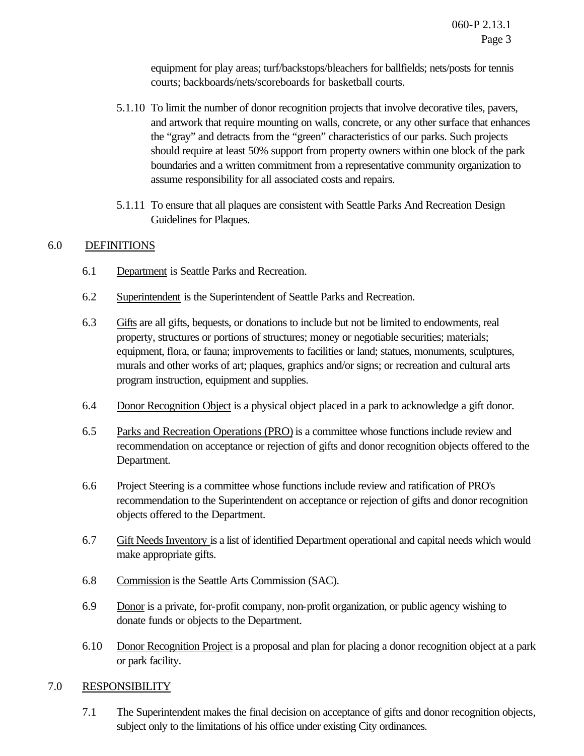equipment for play areas; turf/backstops/bleachers for ballfields; nets/posts for tennis courts; backboards/nets/scoreboards for basketball courts.

- 5.1.10 To limit the number of donor recognition projects that involve decorative tiles, pavers, and artwork that require mounting on walls, concrete, or any other surface that enhances the "gray" and detracts from the "green" characteristics of our parks. Such projects should require at least 50% support from property owners within one block of the park boundaries and a written commitment from a representative community organization to assume responsibility for all associated costs and repairs.
- 5.1.11 To ensure that all plaques are consistent with Seattle Parks And Recreation Design Guidelines for Plaques.

#### 6.0 DEFINITIONS

- 6.1 Department is Seattle Parks and Recreation.
- 6.2 Superintendent is the Superintendent of Seattle Parks and Recreation.
- 6.3 Gifts are all gifts, bequests, or donations to include but not be limited to endowments, real property, structures or portions of structures; money or negotiable securities; materials; equipment, flora, or fauna; improvements to facilities or land; statues, monuments, sculptures, murals and other works of art; plaques, graphics and/or signs; or recreation and cultural arts program instruction, equipment and supplies.
- 6.4 Donor Recognition Object is a physical object placed in a park to acknowledge a gift donor.
- 6.5 Parks and Recreation Operations (PRO) is a committee whose functions include review and recommendation on acceptance or rejection of gifts and donor recognition objects offered to the Department.
- 6.6 Project Steering is a committee whose functions include review and ratification of PRO's recommendation to the Superintendent on acceptance or rejection of gifts and donor recognition objects offered to the Department.
- 6.7 Gift Needs Inventory is a list of identified Department operational and capital needs which would make appropriate gifts.
- 6.8 Commission is the Seattle Arts Commission (SAC).
- 6.9 Donor is a private, for-profit company, non-profit organization, or public agency wishing to donate funds or objects to the Department.
- 6.10 Donor Recognition Project is a proposal and plan for placing a donor recognition object at a park or park facility.

#### 7.0 RESPONSIBILITY

7.1 The Superintendent makes the final decision on acceptance of gifts and donor recognition objects, subject only to the limitations of his office under existing City ordinances.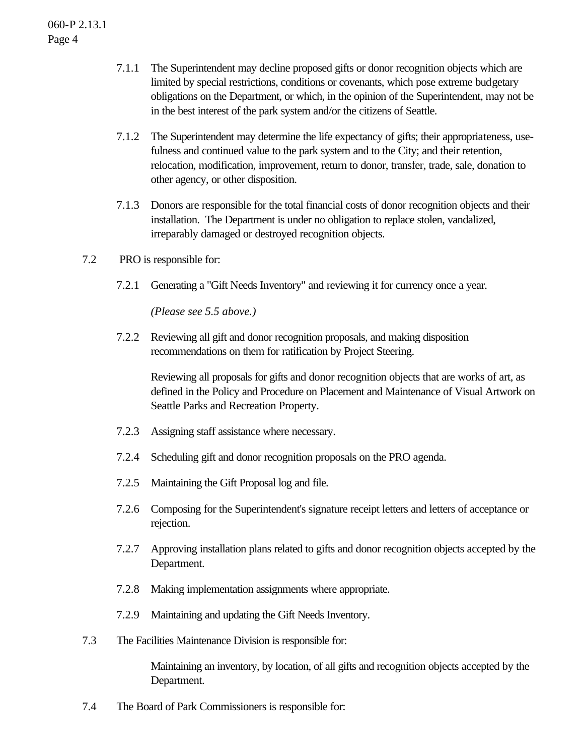#### 060-P 2.13.1 Page 4

- 7.1.1 The Superintendent may decline proposed gifts or donor recognition objects which are limited by special restrictions, conditions or covenants, which pose extreme budgetary obligations on the Department, or which, in the opinion of the Superintendent, may not be in the best interest of the park system and/or the citizens of Seattle.
- 7.1.2 The Superintendent may determine the life expectancy of gifts; their appropriateness, usefulness and continued value to the park system and to the City; and their retention, relocation, modification, improvement, return to donor, transfer, trade, sale, donation to other agency, or other disposition.
- 7.1.3 Donors are responsible for the total financial costs of donor recognition objects and their installation. The Department is under no obligation to replace stolen, vandalized, irreparably damaged or destroyed recognition objects.
- 7.2 PRO is responsible for:
	- 7.2.1 Generating a "Gift Needs Inventory" and reviewing it for currency once a year.

*(Please see 5.5 above.)*

7.2.2 Reviewing all gift and donor recognition proposals, and making disposition recommendations on them for ratification by Project Steering.

Reviewing all proposals for gifts and donor recognition objects that are works of art, as defined in the Policy and Procedure on Placement and Maintenance of Visual Artwork on Seattle Parks and Recreation Property.

- 7.2.3 Assigning staff assistance where necessary.
- 7.2.4 Scheduling gift and donor recognition proposals on the PRO agenda.
- 7.2.5 Maintaining the Gift Proposal log and file.
- 7.2.6 Composing for the Superintendent's signature receipt letters and letters of acceptance or rejection.
- 7.2.7 Approving installation plans related to gifts and donor recognition objects accepted by the Department.
- 7.2.8 Making implementation assignments where appropriate.
- 7.2.9 Maintaining and updating the Gift Needs Inventory.
- 7.3 The Facilities Maintenance Division is responsible for:

Maintaining an inventory, by location, of all gifts and recognition objects accepted by the Department.

7.4 The Board of Park Commissioners is responsible for: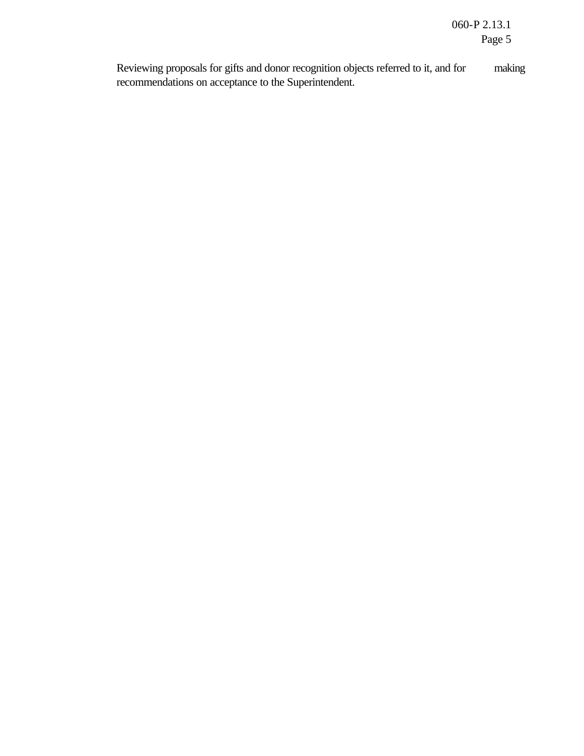Reviewing proposals for gifts and donor recognition objects referred to it, and for making recommendations on acceptance to the Superintendent.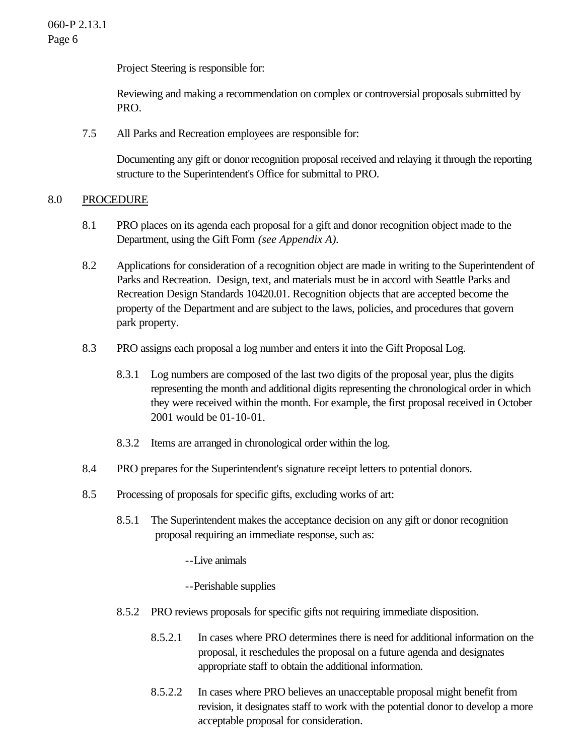Project Steering is responsible for:

Reviewing and making a recommendation on complex or controversial proposals submitted by PRO.

7.5 All Parks and Recreation employees are responsible for:

Documenting any gift or donor recognition proposal received and relaying it through the reporting structure to the Superintendent's Office for submittal to PRO.

#### 8.0 PROCEDURE

- 8.1 PRO places on its agenda each proposal for a gift and donor recognition object made to the Department, using the Gift Form *(see Appendix A).*
- 8.2 Applications for consideration of a recognition object are made in writing to the Superintendent of Parks and Recreation. Design, text, and materials must be in accord with Seattle Parks and Recreation Design Standards 10420.01. Recognition objects that are accepted become the property of the Department and are subject to the laws, policies, and procedures that govern park property.
- 8.3 PRO assigns each proposal a log number and enters it into the Gift Proposal Log.
	- 8.3.1 Log numbers are composed of the last two digits of the proposal year, plus the digits representing the month and additional digits representing the chronological order in which they were received within the month. For example, the first proposal received in October 2001 would be 01-10-01.
	- 8.3.2 Items are arranged in chronological order within the log.
- 8.4 PRO prepares for the Superintendent's signature receipt letters to potential donors.
- 8.5 Processing of proposals for specific gifts, excluding works of art:
	- 8.5.1 The Superintendent makes the acceptance decision on any gift or donor recognition proposal requiring an immediate response, such as:
		- --Live animals
		- --Perishable supplies
	- 8.5.2 PRO reviews proposals for specific gifts not requiring immediate disposition.
		- 8.5.2.1 In cases where PRO determines there is need for additional information on the proposal, it reschedules the proposal on a future agenda and designates appropriate staff to obtain the additional information.
		- 8.5.2.2 In cases where PRO believes an unacceptable proposal might benefit from revision, it designates staff to work with the potential donor to develop a more acceptable proposal for consideration.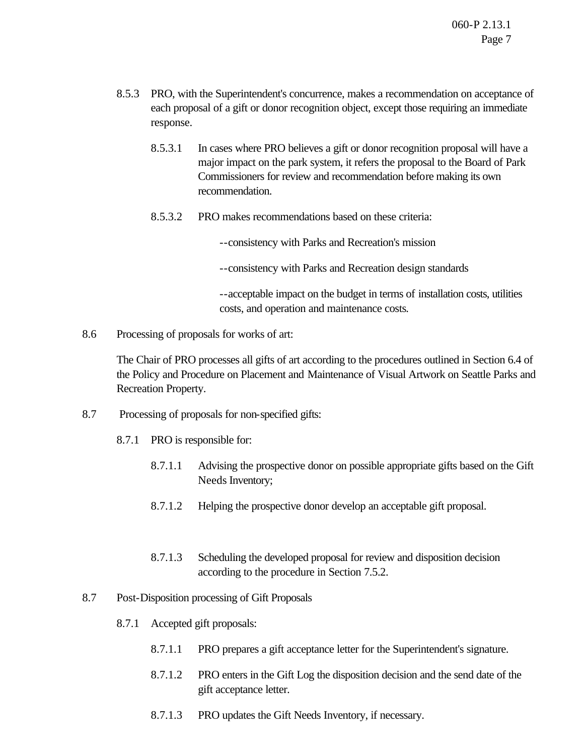- 8.5.3 PRO, with the Superintendent's concurrence, makes a recommendation on acceptance of each proposal of a gift or donor recognition object, except those requiring an immediate response.
	- 8.5.3.1 In cases where PRO believes a gift or donor recognition proposal will have a major impact on the park system, it refers the proposal to the Board of Park Commissioners for review and recommendation before making its own recommendation.
	- 8.5.3.2 PRO makes recommendations based on these criteria:
		- --consistency with Parks and Recreation's mission
		- --consistency with Parks and Recreation design standards

--acceptable impact on the budget in terms of installation costs, utilities costs, and operation and maintenance costs*.*

8.6 Processing of proposals for works of art:

The Chair of PRO processes all gifts of art according to the procedures outlined in Section 6.4 of the Policy and Procedure on Placement and Maintenance of Visual Artwork on Seattle Parks and Recreation Property.

- 8.7 Processing of proposals for non-specified gifts:
	- 8.7.1 PRO is responsible for:
		- 8.7.1.1 Advising the prospective donor on possible appropriate gifts based on the Gift Needs Inventory;
		- 8.7.1.2 Helping the prospective donor develop an acceptable gift proposal.
		- 8.7.1.3 Scheduling the developed proposal for review and disposition decision according to the procedure in Section 7.5.2.
- 8.7 Post-Disposition processing of Gift Proposals
	- 8.7.1 Accepted gift proposals:
		- 8.7.1.1 PRO prepares a gift acceptance letter for the Superintendent's signature.
		- 8.7.1.2 PRO enters in the Gift Log the disposition decision and the send date of the gift acceptance letter.
		- 8.7.1.3 PRO updates the Gift Needs Inventory, if necessary.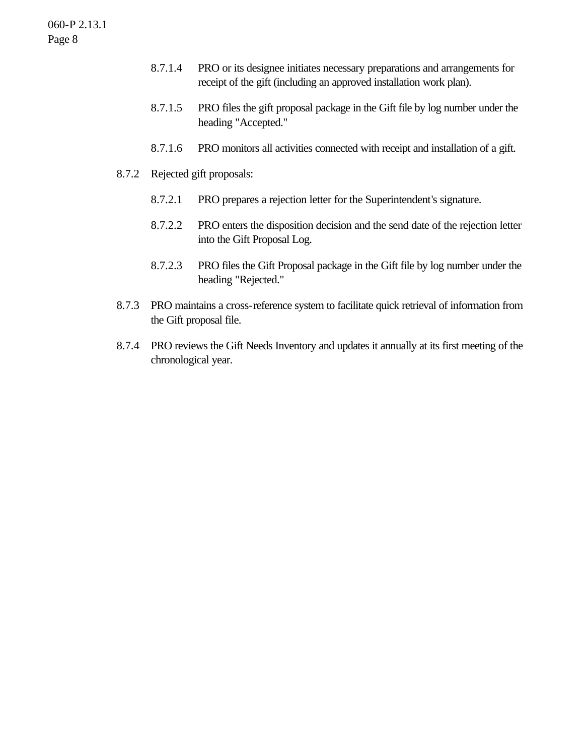- 8.7.1.4 PRO or its designee initiates necessary preparations and arrangements for receipt of the gift (including an approved installation work plan).
- 8.7.1.5 PRO files the gift proposal package in the Gift file by log number under the heading "Accepted."
- 8.7.1.6 PRO monitors all activities connected with receipt and installation of a gift.
- 8.7.2 Rejected gift proposals:
	- 8.7.2.1 PRO prepares a rejection letter for the Superintendent's signature.
	- 8.7.2.2 PRO enters the disposition decision and the send date of the rejection letter into the Gift Proposal Log.
	- 8.7.2.3 PRO files the Gift Proposal package in the Gift file by log number under the heading "Rejected."
- 8.7.3 PRO maintains a cross-reference system to facilitate quick retrieval of information from the Gift proposal file.
- 8.7.4 PRO reviews the Gift Needs Inventory and updates it annually at its first meeting of the chronological year.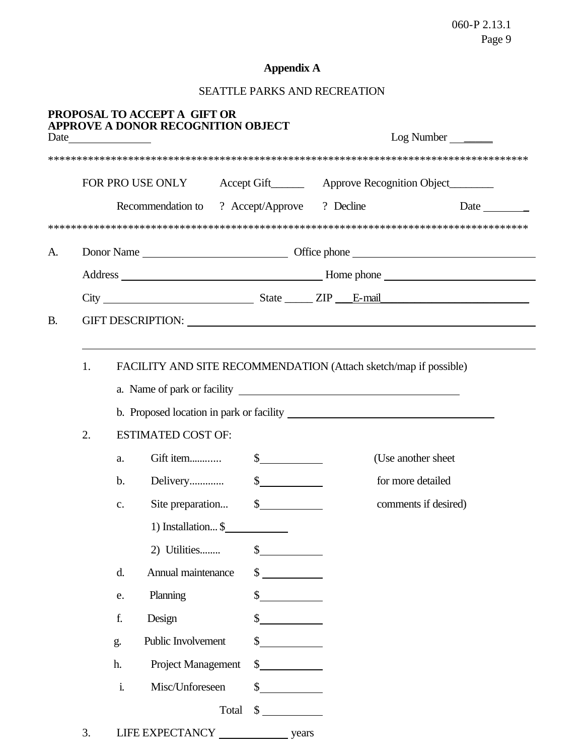## **Appendix A**

# SEATTLE PARKS AND RECREATION

|           |    |                | PROPOSAL TO ACCEPT A GIFT OR<br><b>APPROVE A DONOR RECOGNITION OBJECT</b> |                      |       |  |                                                                         |
|-----------|----|----------------|---------------------------------------------------------------------------|----------------------|-------|--|-------------------------------------------------------------------------|
|           |    |                |                                                                           |                      |       |  |                                                                         |
|           |    |                |                                                                           |                      |       |  | FOR PRO USE ONLY Accept Gift________ Approve Recognition Object________ |
|           |    |                | Recommendation to ? Accept/Approve ? Decline                              |                      |       |  | Date $\qquad \qquad \qquad$                                             |
|           |    |                |                                                                           |                      |       |  |                                                                         |
| A.        |    |                |                                                                           |                      |       |  |                                                                         |
|           |    |                |                                                                           |                      |       |  |                                                                         |
|           |    |                |                                                                           |                      |       |  |                                                                         |
| <b>B.</b> |    |                |                                                                           |                      |       |  |                                                                         |
|           |    |                |                                                                           |                      |       |  |                                                                         |
|           | 1. |                | FACILITY AND SITE RECOMMENDATION (Attach sketch/map if possible)          |                      |       |  |                                                                         |
|           |    |                |                                                                           |                      |       |  |                                                                         |
|           |    |                |                                                                           |                      |       |  |                                                                         |
|           | 2. |                | <b>ESTIMATED COST OF:</b>                                                 |                      |       |  |                                                                         |
|           |    | a.             |                                                                           |                      |       |  | (Use another sheet)                                                     |
|           |    | $\mathbf{b}$ . | Delivery                                                                  | $\frac{\sqrt{2}}{2}$ |       |  | for more detailed                                                       |
|           |    | $C_{\bullet}$  | Site preparation                                                          | $\frac{1}{2}$        |       |  | comments if desired)                                                    |
|           |    |                | 1) Installation $\frac{1}{2}$                                             |                      |       |  |                                                                         |
|           |    |                | 2) Utilities                                                              | \$                   |       |  |                                                                         |
|           |    | d.             | Annual maintenance                                                        | \$                   |       |  |                                                                         |
|           |    | e.             | Planning                                                                  | \$                   |       |  |                                                                         |
|           |    | f.             | Design                                                                    | \$                   |       |  |                                                                         |
|           |    | g.             | Public Involvement                                                        | \$                   |       |  |                                                                         |
|           |    | h.             | Project Management                                                        | \$                   |       |  |                                                                         |
|           |    | $\mathbf i$    | Misc/Unforeseen                                                           | \$                   |       |  |                                                                         |
|           |    |                |                                                                           | \$<br>Total          |       |  |                                                                         |
|           | 3. |                | LIFE EXPECTANCY                                                           |                      | years |  |                                                                         |